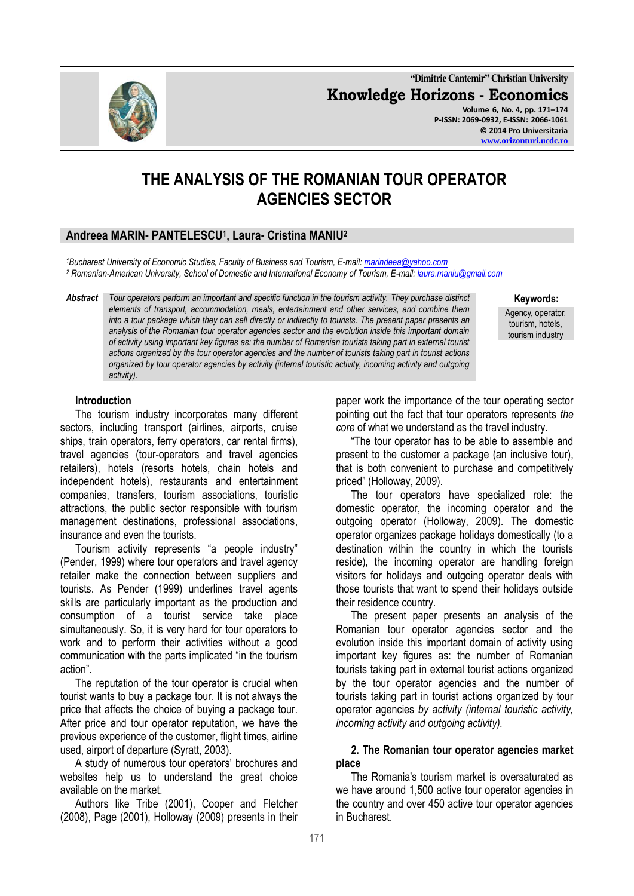**"Dimitrie Cantemir" Christian University Knowledge Horizons - Economics Volume 6, No. 4, pp. 171–174 P-ISSN: 2069-0932, E-ISSN: 2066-1061 © 2014 Pro Universitaria**

# **THE ANALYSIS OF THE ROMANIAN TOUR OPERATOR AGENCIES SECTOR**

# **Andreea MARIN- PANTELESCU<sup>1</sup> , Laura- Cristina MANIU<sup>2</sup>**

*<sup>1</sup>Bucharest University of Economic Studies, Faculty of Business and Tourism, E-mail[: marindeea@yahoo.com](mailto:marindeea@yahoo.com) <sup>2</sup> Romanian-American University, School of Domestic and International Economy of Tourism, E-mail[: laura.maniu@gmail.com](mailto:laura.maniu@gmail.com)*

*Abstract Tour operators perform an important and specific function in the tourism activity. They purchase distinct elements of transport, accommodation, meals, entertainment and other services, and combine them into a tour package which they can sell directly or indirectly to tourists. The present paper presents an analysis of the Romanian tour operator agencies sector and the evolution inside this important domain of activity using important key figures as: the number of Romanian tourists taking part in external tourist actions organized by the tour operator agencies and the number of tourists taking part in tourist actions organized by tour operator agencies by activity (internal touristic activity, incoming activity and outgoing activity).*

#### **Keywords:**

Agency, operator, tourism, hotels, tourism industry

### **Introduction**

The tourism industry incorporates many different sectors, including transport (airlines, airports, cruise ships, train operators, ferry operators, car rental firms), travel agencies (tour-operators and travel agencies retailers), hotels (resorts hotels, chain hotels and independent hotels), restaurants and entertainment companies, transfers, tourism associations, touristic attractions, the public sector responsible with tourism management destinations, professional associations, insurance and even the tourists.

Tourism activity represents "a people industry" (Pender, 1999) where tour operators and travel agency retailer make the connection between suppliers and tourists. As Pender (1999) underlines travel agents skills are particularly important as the production and consumption of a tourist service take place simultaneously. So, it is very hard for tour operators to work and to perform their activities without a good communication with the parts implicated "in the tourism action".

The reputation of the tour operator is crucial when tourist wants to buy a package tour. It is not always the price that affects the choice of buying a package tour. After price and tour operator reputation, we have the previous experience of the customer, flight times, airline used, airport of departure (Syratt, 2003).

A study of numerous tour operators' brochures and websites help us to understand the great choice available on the market.

Authors like Tribe (2001), Cooper and Fletcher (2008), Page (2001), Holloway (2009) presents in their paper work the importance of the tour operating sector pointing out the fact that tour operators represents *the core* of what we understand as the travel industry.

"The tour operator has to be able to assemble and present to the customer a package (an inclusive tour), that is both convenient to purchase and competitively priced" (Holloway, 2009).

The tour operators have specialized role: the domestic operator, the incoming operator and the outgoing operator (Holloway, 2009). The domestic operator organizes package holidays domestically (to a destination within the country in which the tourists reside), the incoming operator are handling foreign visitors for holidays and outgoing operator deals with those tourists that want to spend their holidays outside their residence country.

The present paper presents an analysis of the Romanian tour operator agencies sector and the evolution inside this important domain of activity using important key figures as: the number of Romanian tourists taking part in external tourist actions organized by the tour operator agencies and the number of tourists taking part in tourist actions organized by tour operator agencies *by activity (internal touristic activity, incoming activity and outgoing activity).*

#### **2. The Romanian tour operator agencies market place**

The Romania's tourism market is oversaturated as we have around 1,500 active tour operator agencies in the country and over 450 active tour operator agencies in Bucharest.

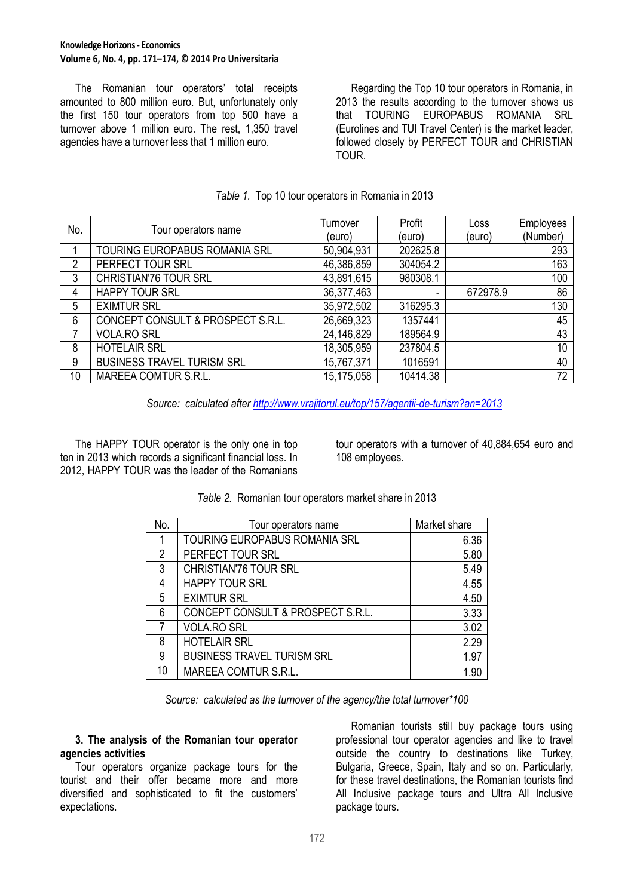The Romanian tour operators' total receipts amounted to 800 million euro. But, unfortunately only the first 150 tour operators from top 500 have a turnover above 1 million euro. The rest, 1,350 travel agencies have a turnover less that 1 million euro.

Regarding the Top 10 tour operators in Romania, in 2013 the results according to the turnover shows us that TOURING EUROPABUS ROMANIA SRL (Eurolines and TUI Travel Center) is the market leader, followed closely by PERFECT TOUR and CHRISTIAN TOUR.

| No. | Tour operators name               | Turnover   | Profit   | Loss     | Employees |
|-----|-----------------------------------|------------|----------|----------|-----------|
|     |                                   | (euro)     | (euro)   | (euro)   | (Number)  |
|     | TOURING EUROPABUS ROMANIA SRL     | 50,904,931 | 202625.8 |          | 293       |
| 2   | PERFECT TOUR SRL                  | 46,386,859 | 304054.2 |          | 163       |
| 3   | CHRISTIAN'76 TOUR SRL             | 43,891,615 | 980308.1 |          | 100       |
| 4   | <b>HAPPY TOUR SRL</b>             | 36,377,463 |          | 672978.9 | 86        |
| 5   | <b>EXIMTUR SRL</b>                | 35,972,502 | 316295.3 |          | 130       |
| 6   | CONCEPT CONSULT & PROSPECT S.R.L. | 26,669,323 | 1357441  |          | 45        |
|     | <b>VOLA.RO SRL</b>                | 24,146,829 | 189564.9 |          | 43        |
| 8   | <b>HOTELAIR SRL</b>               | 18,305,959 | 237804.5 |          | 10        |
| 9   | <b>BUSINESS TRAVEL TURISM SRL</b> | 15,767,371 | 1016591  |          | 40        |
| 10  | <b>MAREEA COMTUR S.R.L.</b>       | 15,175,058 | 10414.38 |          | 72        |

# *Table 1.* Top 10 tour operators in Romania in 2013

*Source: calculated afte[r http://www.vrajitorul.eu/top/157/agentii-de-turism?an=2013](http://www.vrajitorul.eu/top/157/agentii-de-turism?an=2013)*

The HAPPY TOUR operator is the only one in top ten in 2013 which records a significant financial loss. In 2012, HAPPY TOUR was the leader of the Romanians

tour operators with a turnover of 40,884,654 euro and 108 employees.

| No. | Tour operators name               | Market share |
|-----|-----------------------------------|--------------|
|     | TOURING EUROPABUS ROMANIA SRL     | 6.36         |
| 2   | PERFECT TOUR SRL                  | 5.80         |
| 3   | CHRISTIAN'76 TOUR SRL             | 5.49         |
| 4   | <b>HAPPY TOUR SRL</b>             | 4.55         |
| 5   | <b>EXIMTUR SRL</b>                | 4.50         |
| 6   | CONCEPT CONSULT & PROSPECT S.R.L. | 3.33         |
|     | <b>VOLA.RO SRL</b>                | 3.02         |
| 8   | <b>HOTELAIR SRL</b>               | 2.29         |
| 9   | <b>BUSINESS TRAVEL TURISM SRL</b> | 1.97         |
| 10  | MAREEA COMTUR S.R.L.              | 1.90         |

*Table 2.* Romanian tour operators market share in 2013

*Source: calculated as the turnover of the agency/the total turnover\*100*

# **3. The analysis of the Romanian tour operator agencies activities**

Tour operators organize package tours for the tourist and their offer became more and more diversified and sophisticated to fit the customers' expectations.

Romanian tourists still buy package tours using professional tour operator agencies and like to travel outside the country to destinations like Turkey, Bulgaria, Greece, Spain, Italy and so on. Particularly, for these travel destinations, the Romanian tourists find All Inclusive package tours and Ultra All Inclusive package tours.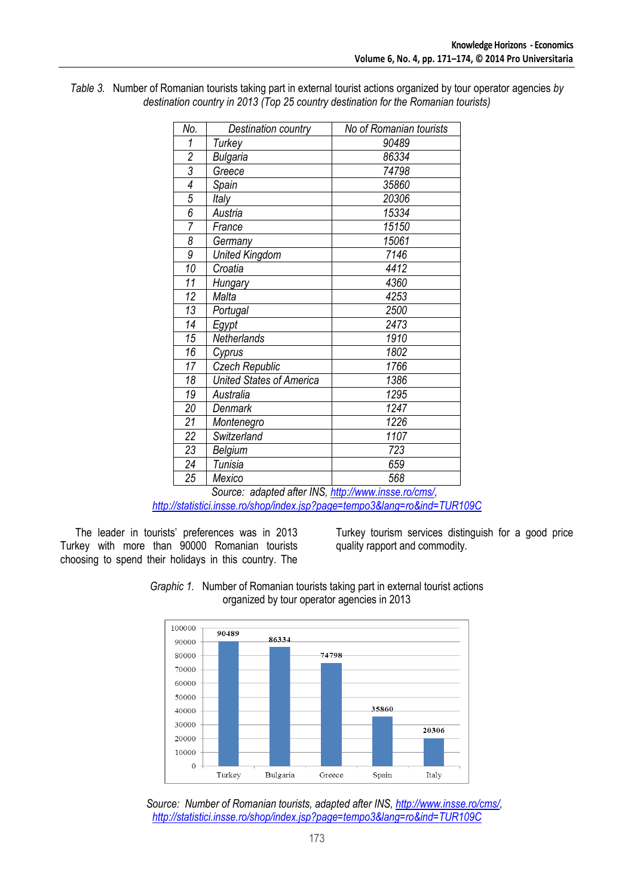| No.             | Destination country                      | No of Romanian tourists |
|-----------------|------------------------------------------|-------------------------|
| 1               | Turkey                                   | 90489                   |
| $\overline{2}$  | Bulgaria                                 | 86334                   |
| 3               | Greece                                   | 74798                   |
| 4               | Spain                                    | 35860                   |
| $\overline{5}$  | Italy                                    | 20306                   |
| $\overline{6}$  | Austria                                  | 15334                   |
| $\overline{7}$  | France                                   | 15150                   |
| 8               | Germany                                  | 15061                   |
| 9               | <b>United Kingdom</b>                    | 7146                    |
| 10              | Croatia                                  | 4412                    |
| 11              | Hungary                                  | 4360                    |
| 12              | Malta                                    | 4253                    |
| 13              | Portugal                                 | 2500                    |
| 14              | Egypt                                    | 2473                    |
| 15              | Netherlands                              | 1910                    |
| 16              | Cyprus                                   | 1802                    |
| 17              | Czech Republic                           | 1766                    |
| 18              | <b>United States of America</b>          | 1386                    |
| 19              | Australia                                | 1295                    |
| 20              | Denmark                                  | 1247                    |
| 21              | Montenegro                               | 1226                    |
| $\overline{22}$ | Switzerland                              | 1107                    |
| 23              | Belgium                                  | 723                     |
| 24              | Tunisia                                  | 659                     |
| 25              | Mexico<br>$\sim$ $\sim$ $\sim$<br>$\sim$ | 568<br>$\mathbf{r}$     |

*Table 3.* Number of Romanian tourists taking part in external tourist actions organized by tour operator agencies *by destination country in 2013 (Top 25 country destination for the Romanian tourists)*

> *Source: adapted after INS, [http://www.insse.ro/cms/,](http://www.insse.ro/cms/)  <http://statistici.insse.ro/shop/index.jsp?page=tempo3&lang=ro&ind=TUR109C>*

The leader in tourists' preferences was in 2013 Turkey with more than 90000 Romanian tourists choosing to spend their holidays in this country. The Turkey tourism services distinguish for a good price quality rapport and commodity.





*Source:**Number of Romanian tourists, adapted after INS[, http://www.insse.ro/cms/,](http://www.insse.ro/cms/) <http://statistici.insse.ro/shop/index.jsp?page=tempo3&lang=ro&ind=TUR109C>*